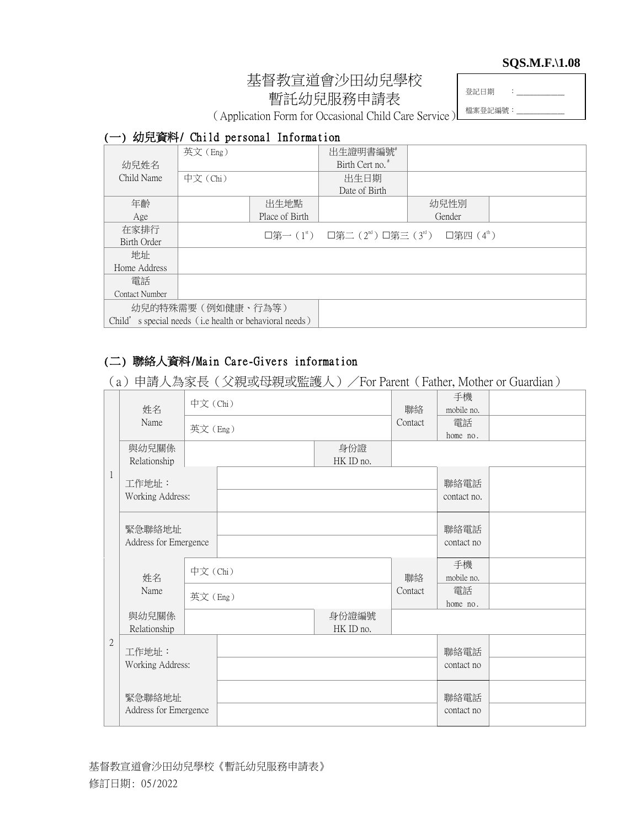#### **SQS.M.F.\1.08**

# 基督教宣道會沙田幼兒學校 暫託幼兒服務申請表

登記日期 :

檔案登記編號:

(Application Form for Occasional Child Care Service)

### (一) 幼兒資料/ Child personal Information

|                                                        | 英文(Eng)  |                | 出生證明書編號                                                                                     |        |  |
|--------------------------------------------------------|----------|----------------|---------------------------------------------------------------------------------------------|--------|--|
| 幼兒姓名                                                   |          |                | Birth Cert no. <sup>#</sup>                                                                 |        |  |
| Child Name                                             | 中文 (Chi) |                | 出生日期                                                                                        |        |  |
|                                                        |          |                | Date of Birth                                                                               |        |  |
| 年齡                                                     |          | 出生地點           |                                                                                             | 幼兒性別   |  |
| Age                                                    |          | Place of Birth |                                                                                             | Gender |  |
| 在家排行                                                   |          |                | □第一( $1^{\text{st}}$ ) □第二( $2^{\text{nd}}$ ) □第三( $3^{\text{rd}}$ ) □第四( $4^{\text{th}}$ ) |        |  |
| Birth Order                                            |          |                |                                                                                             |        |  |
| 地址                                                     |          |                |                                                                                             |        |  |
| Home Address                                           |          |                |                                                                                             |        |  |
| 雷話                                                     |          |                |                                                                                             |        |  |
| Contact Number                                         |          |                |                                                                                             |        |  |
| 幼兒的特殊需要(例如健康、行為等)                                      |          |                |                                                                                             |        |  |
| Child's special needs (i.e health or behavioral needs) |          |                |                                                                                             |        |  |

## (二) 聯絡人資料/Main Care-Givers information

(a)申請人為家長(父親或母親或監護人)/For Parent(Father, Mother or Guardian)

|              | 姓名                              | 中文(Chi) |  |                    | 聯絡             | 手機<br>mobile no.    |  |
|--------------|---------------------------------|---------|--|--------------------|----------------|---------------------|--|
|              | Name                            | 英文(Eng) |  | Contact            | 電話<br>home no. |                     |  |
|              | 與幼兒關係<br>Relationship           |         |  | 身份證<br>HK ID no.   |                |                     |  |
| 1            | 工作地址:<br>Working Address:       |         |  |                    |                | 聯絡電話<br>contact no. |  |
|              | 緊急聯絡地址<br>Address for Emergence |         |  |                    |                | 聯絡電話<br>contact no  |  |
|              | 姓名                              | 中文(Chi) |  |                    | 聯絡             | 手機<br>mobile no.    |  |
|              | Name                            | 英文(Eng) |  |                    | Contact        | 電話<br>home no.      |  |
|              | 與幼兒關係<br>Relationship           |         |  | 身份證編號<br>HK ID no. |                |                     |  |
| $\mathbf{2}$ | 工作地址:<br>Working Address:       |         |  |                    |                | 聯絡電話<br>contact no  |  |
|              | 緊急聯絡地址<br>Address for Emergence |         |  |                    |                | 聯絡電話<br>contact no  |  |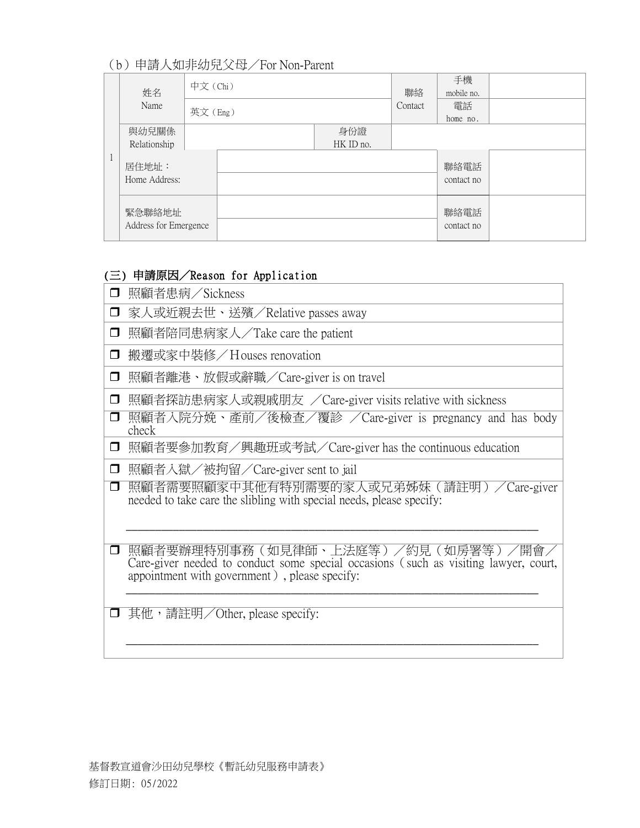## (b)申請人如非幼兒父母/For Non-Parent

|  | 姓名                              | 中文 (Chi) |  |                  | 聯絡<br>Contact | 手機<br>mobile no.   |  |
|--|---------------------------------|----------|--|------------------|---------------|--------------------|--|
|  | Name                            | 英文(Eng)  |  |                  |               | 電話<br>home no.     |  |
|  | 與幼兒關係<br>Relationship           |          |  | 身份證<br>HK ID no. |               |                    |  |
|  | 居住地址:<br>Home Address:          |          |  |                  |               | 聯絡電話<br>contact no |  |
|  | 緊急聯絡地址<br>Address for Emergence |          |  |                  |               | 聯絡電話<br>contact no |  |

## (三) 申請原因/Reason for Application

| □      | 照顧者患病/Sickness                                                                                                                                                              |
|--------|-----------------------------------------------------------------------------------------------------------------------------------------------------------------------------|
| $\Box$ | 家人或近親去世、送殯/Relative passes away                                                                                                                                             |
| $\Box$ | 照顧者陪同患病家人/Take care the patient                                                                                                                                             |
| $\Box$ | 搬遷或家中裝修/Houses renovation                                                                                                                                                   |
| $\Box$ | 照顧者離港、放假或辭職/Care-giver is on travel                                                                                                                                         |
| $\Box$ | 照顧者探訪患病家人或親戚朋友 /Care-giver visits relative with sickness                                                                                                                    |
| $\Box$ | 照顧者入院分娩、產前/後檢查/覆診 /Care-giver is pregnancy and has body<br>check                                                                                                            |
| $\Box$ | 照顧者要參加教育/興趣班或考試/Care-giver has the continuous education                                                                                                                     |
| $\Box$ | 照顧者入獄/被拘留/Care-giver sent to jail                                                                                                                                           |
| $\Box$ | 照顧者需要照顧家中其他有特別需要的家人或兄弟姊妹(請註明)/Care-giver<br>needed to take care the slibling with special needs, please specify:                                                            |
| $\Box$ | 照顧者要辦理特別事務(如見律師、上法庭等)/約見(如房署等)/開會.<br>Care-giver needed to conduct some special occasions (such as visiting lawyer, court,<br>appointment with government), please specify: |
|        | 其他,請註明/Other, please specify:                                                                                                                                               |